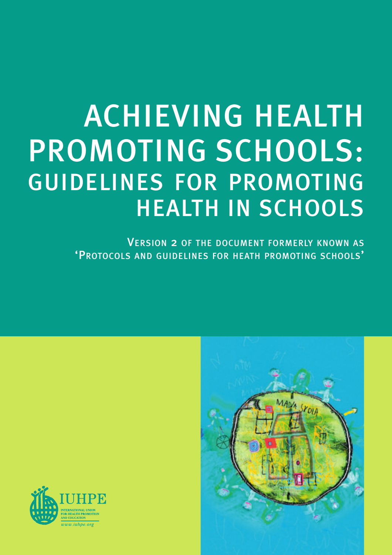# ACHIEVING HEALTH PROMOTING SCHOOLS: GUIDELINES FOR PROMOTING HEALTH IN SCHOOLS

VERSION 2 OF THE DOCUMENT FORMERLY KNOWN AS 'PROTOCOLS AND GUIDELINES FOR HEATH PROMOTING SCHOOLS'



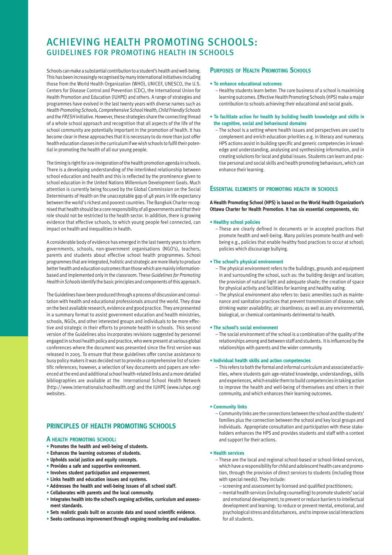## ACHIEVING HEALTH PROMOTING SCHOOLS: GUIDELINES FOR PROMOTING HEALTH IN SCHOOLS

Schools can make a substantial contribution to a student's health and well-being. This has been increasingly recognised by many international initiatives including those from the World Health Organization (WHO), UNICEF, UNESCO, the U.S. Centers for Disease Control and Prevention (CDC), the International Union for Health Promotion and Education (IUHPE) and others. A range of strategies and programmes have evolved in the last twenty years with diverse names such as *Health Promoting Schools, Comprehensive School Health, Child Friendly Schools* and the *FRESH*initiative. However, these strategies share the connecting thread of a whole school approach and recognition that all aspects of the life of the school community are potentially important in the promotion of health. It has become clear in these approaches that it is necessary to do more than just offer health education classes in the curriculum if we wish schools to fulfil their potential in promoting the health of all our young people.

The timing is right for a re-invigoration of the health promotion agenda in schools. There is a developing understanding of the interlinked relationship between school education and health and this is reflected by the prominence given to school education in the United Nations Millennium Development Goals. Much attention is currently being focused by the Global Commission on the Social Determinants of Health on the unacceptable gap of 48 years in life expectancy between the world's richest and poorest countries. The Bangkok Charter recognised that health should be a core responsibility of all governments and that their role should not be restricted to the health sector. In addition, there is growing evidence that effective schools, to which young people feel connected, can impact on health and inequalities in health.

A considerable body of evidence has emerged in the last twenty years to inform governments, schools, non-government organisations (NGO's), teachers, parents and students about effective school health programmes. School programmes that are integrated, holistic and strategic are more likely to produce better health and education outcomes than those which are mainly informationbased and implemented only in the classroom. These *Guidelines for Promoting Health in Schools* identify the basic principles and components of this approach.

The Guidelines have been produced through a process of discussion and consultation with health and educational professionals around the world. They draw on the best available research, evidence and good practice. They are presented in a summary format to assist government education and health ministries, schools, NGOs, and other interested groups and individuals to be more effective and strategic in their efforts to promote health in schools. This second version of the Guidelines also incorporates revisions suggested by personnel engaged in school health policy and practice, who were present at various global conferences where the document was presented since the first version was released in 2005. To ensure that these guidelines offer concise assistance to busy policy makers it was decided not to provide a comprehensive list of scientific references; however, a selection of key documents and papers are referenced at the end and additional school health-related links and a more detailed bibliographies are available at the International School Health Network (http://www.internationalschoolhealth.org) and the IUHPE (www.iuhpe.org) websites.

### **PRINCIPLES OF HEALTH PROMOTING SCHOOLS**

#### **A HEALTH PROMOTING SCHOOL:**

- **Promotes the health and well-being of students.**
- **Enhances the learning outcomes of students.**
- **Upholds social justice and equity concepts.**
- **Provides a safe and supportive environment.**
- **Involves student participation and empowerment.**
- **Links health and education issues and systems.**
- **Addresses the health and well-being issues of all school staff.**
- **Collaborates with parents and the local community.**
- **Integrates health into the school's ongoing activities, curriculum and assessment standards.**
- **Sets realistic goals built on accurate data and sound scientific evidence.**
- **Seeks continuous improvement through ongoing monitoring and evaluation.**

#### **PURPOSES OF HEALTH PROMOTING SCHOOLS**

#### **• To enhance educational outcomes**

- Healthy students learn better. The core business of a school is maximising learning outcomes. Effective Health Promoting Schools (HPS) make a major contribution to schools achieving their educational and social goals.
- **To facilitate action for health by building health knowledge and skills in the cognitive, social and behavioural domains**
- The school is a setting where health issues and perspectives are used to complement and enrich education priorities e.g. in literacy and numeracy. HPS actions assist in building specific and generic competencies in knowledge and understanding, analysing and synthesising information, and in creating solutions for local and global issues. Students can learn and practise personal and social skills and health promoting behaviours, which can enhance their learning.

#### **ESSENTIAL ELEMENTS OF PROMOTING HEALTH IN SCHOOLS**

**A Health Promoting School (HPS) is based on the World Health Organization's Ottawa Charter for Health Promotion. It has six essential components, viz:**

#### **• Healthy school policies**

– These are clearly defined in documents or in accepted practices that promote health and well-being. Many policies promote health and wellbeing e.g., policies that enable healthy food practices to occur at school; policies which discourage bullying.

#### **• The school's physical environment**

- The physical environment refers to the buildings, grounds and equipment in and surrounding the school, such as: the building design and location; the provision of natural light and adequate shade; the creation of space for physical activity and facilities for learning and healthy eating.
- The physical environment also refers to: basic amenities such as maintenance and sanitation practices that prevent transmission of disease; safe drinking water availability; air cleanliness; as well as any environmental, biological, or chemical contaminants detrimental to health.

#### **• The school's social environment**

– The social environment of the school is a combination of the quality of the relationships among and between staff and students. It is influenced by the relationships with parents and the wider community.

#### **• Individual health skills and action competencies**

– This refers to both the formal and informal curriculum and associated activities, where students gain age-related knowledge, understandings, skills and experiences, which enable them to build competencies in taking action to improve the health and well-being of themselves and others in their community, and which enhances their learning outcomes.

#### **• Community links**

– Community links are the connections between the school and the students' families plus the connection between the school and key local groups and individuals. Appropriate consultation and participation with these stakeholders enhances the HPS and provides students and staff with a context and support for their actions.

#### **• Health services**

- These are the local and regional school-based or school-linked services, which have a responsibility for child and adolescent health care and promotion, through the provision of direct services to students (including those with special needs). They include:
	- screening and assessment by licensed and qualified practitioners;
	- mental health services (including counselling) to promote students'social and emotional development; to prevent or reduce barriers to intellectual development and learning; to reduce or prevent mental, emotional, and psychological stress and disturbances, and to improve social interactions for all students.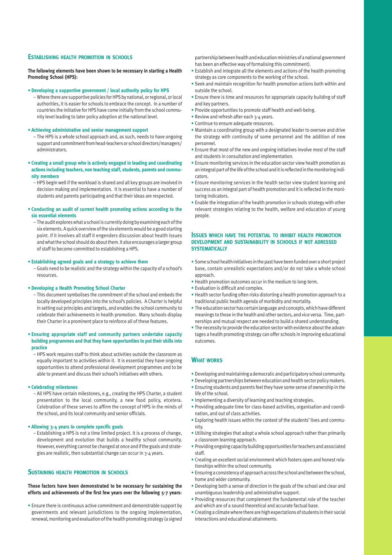#### **ESTABLISHING HEALTH PROMOTION IN SCHOOLS**

**The following elements have been shown to be necessary in starting a Health Promoting School (HPS):**

#### **• Developing a supportive government / local authority policy for HPS**

– Where there are supportive policies for HPS by national, or regional, or local authorities, it is easier for schools to embrace the concept. In a number of countries the initiative for HPS have come initially from the school community level leading to later policy adoption at the national level.

#### **• Achieving administrative and senior management support**

- The HPS is a whole school approach and, as such, needs to have ongoing support and commitment from head-teachers or school directors/managers/ administrators.
- **Creating a small group who is actively engaged in leading and coordinating actions including teachers, non teaching staff, students, parents and community members** 
	- HPS begin well if the workload is shared and all key groups are involved in decision making and implementation. It is essential to have a number of students and parents participating and that their ideas are respected.

#### **• Conducting an audit of current health promoting actions according to the six essential elements**

– The audit explores what a school is currently doing by examining each of the six elements. A quick overview of the six elements would be a good starting point. If it involves all staff it engenders discussion about health issues and what the school should do about them. It also encourages a larger group of staff to become committed to establishing a HPS.

#### **• Establishing agreed goals and a strategy to achieve them**

– Goals need to be realistic and the strategy within the capacity of a school's resources.

#### **• Developing a Health Promoting School Charter**

– This document symbolises the commitment of the school and embeds the locally developed principles into the school's policies. A Charter is helpful in setting out principles and targets, and enables the school community to celebrate their achievements in health promotion. Many schools display their Charter in a prominent place to reinforce all of these features.

#### **• Ensuring appropriate staff and community partners undertake capacity building programmes and that they have opportunities to put their skills into practice**

– HPS work requires staff to think about activities outside the classroom as equally important to activities within it. It is essential they have ongoing opportunities to attend professional development programmes and to be able to present and discuss their school's initiatives with others.

#### **• Celebrating milestones**

– All HPS have certain milestones, e.g., creating the HPS Charter, a student presentation to the local community, a new food policy, etcetera. Celebration of these serves to affirm the concept of HPS in the minds of the school, and its local community and senior officials.

#### **• Allowing 3-4 years to complete specific goals**

– Establishing a HPS is not a time limited project. It is a process of change, development and evolution that builds a healthy school community. However, everything cannot be changed at once and if the goals and strategies are realistic, then substantial change can occur in 3-4 years.

#### **SUSTAINING HEALTH PROMOTION IN SCHOOLS**

#### **These factors have been demonstrated to be necessary for sustaining the efforts and achievements of the first few years over the following 5-7 years:**

• Ensure there is continuous active commitment and demonstrable support by governments and relevant jurisdictions to the ongoing implementation, renewal, monitoring and evaluation of the health promoting strategy (a signed partnership between health and education ministries of a national government has been an effective way of formalising this commitment).

- Establish and integrate all the elements and actions of the health promoting strategy as core components to the working of the school.
- Seek and maintain recognition for health promotion actions both within and outside the school.
- Ensure there is time and resources for appropriate capacity building of staff and key partners.
- Provide opportunities to promote staff health and well-being.
- Review and refresh after each 3-4 years.
- Continue to ensure adequate resources.
- Maintain a coordinating group with a designated leader to oversee and drive the strategy with continuity of some personnel and the addition of new personnel.
- Ensure that most of the new and ongoing initiatives involve most of the staff and students in consultation and implementation.
- Ensure monitoring services in the education sector view health promotion as an integral part of the life of the school and it is reflected in the monitoring indicators.
- Ensure monitoring services in the health sector view student learning and success as an integral part of health promotion and it is reflected in the monitoring indicators.
- Enable the integration of the health promotion in schools strategy with other relevant strategies relating to the health, welfare and education of young people.

#### **ISSUES WHICH HAVE THE POTENTIAL TO INHIBIT HEALTH PROMOTION DEVELOPMENT AND SUSTAINABILITY IN SCHOOLS IF NOT ADRESSED SYSTEMATICALLY**

- Some school health initiatives in the past have been funded over a short project base, contain unrealistic expectations and/or do not take a whole school approach.
- Health promotion outcomes occur in the medium to long-term.
- Evaluation is difficult and complex.
- Health sector funding often risks distorting a health promotion approach to a traditional public health agenda of morbidity and mortality.
- The education sector has certain language and concepts, which have different meanings to those in the health and other sectors, and vice versa. Time, partnerships and mutual respect are needed to build a shared understanding.
- The necessity to provide the education sector with evidence about the advantages a health promoting strategy can offer schools in improving educational outcomes.

#### **WHAT WORKS**

- Developing and maintaining a democratic and participatory school community.
- Developing partnerships between education and health sector policy makers.
- Ensuring students and parents feel they have some sense of ownership in the life of the school.
- Implementing a diversity of learning and teaching strategies.
- Providing adequate time for class-based activities, organisation and coordination, and out of class activities.
- Exploring health issues within the context of the students' lives and community.
- Utilising strategies that adopt a whole school approach rather than primarily a classroom learning approach.
- Providing ongoing capacity building opportunities for teachers and associated staff.
- Creating an excellent social environment which fosters open and honest relationships within the school community.
- Ensuring a consistency of approach across the school and between the school, home and wider community.
- Developing both a sense of direction in the goals of the school and clear and unambiguous leadership and administrative support.
- Providing resources that complement the fundamental role of the teacher and which are of a sound theoretical and accurate factual base.
- Creating a climate where there are high expectations of students in their social interactions and educational attainments.